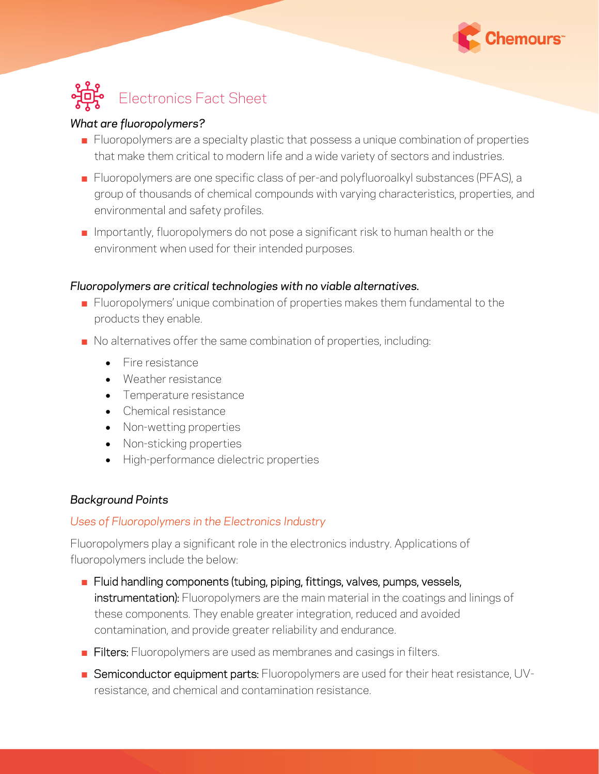



#### *What are fluoropolymers?*

- **EXECT** Fluoropolymers are a specialty plastic that possess a unique combination of properties that make them critical to modern life and a wide variety of sectors and industries.
- Fluoropolymers are one specific class of per-and polyfluoroalkyl substances (PFAS), a group of thousands of chemical compounds with varying characteristics, properties, and environmental and safety profiles.
- $\blacksquare$  Importantly, fluoropolymers do not pose a significant risk to human health or the environment when used for their intended purposes.

#### *Fluoropolymers are critical technologies with no viable alternatives.*

- Fluoropolymers' unique combination of properties makes them fundamental to the products they enable.
- No alternatives offer the same combination of properties, including:
	- Fire resistance
	- Weather resistance
	- Temperature resistance
	- Chemical resistance
	- Non-wetting properties
	- Non-sticking properties
	- High-performance dielectric properties

## *Background Points*

## *Uses of Fluoropolymers in the Electronics Industry*

Fluoropolymers play a significant role in the electronics industry. Applications of fluoropolymers include the below:

- Fluid handling components (tubing, piping, fittings, valves, pumps, vessels, instrumentation): Fluoropolymers are the main material in the coatings and linings of these components. They enable greater integration, reduced and avoided contamination, and provide greater reliability and endurance.
- **Eilters:** Fluoropolymers are used as membranes and casings in filters.
- **EXECTED:** Semiconductor equipment parts: Fluoropolymers are used for their heat resistance, UVresistance, and chemical and contamination resistance.